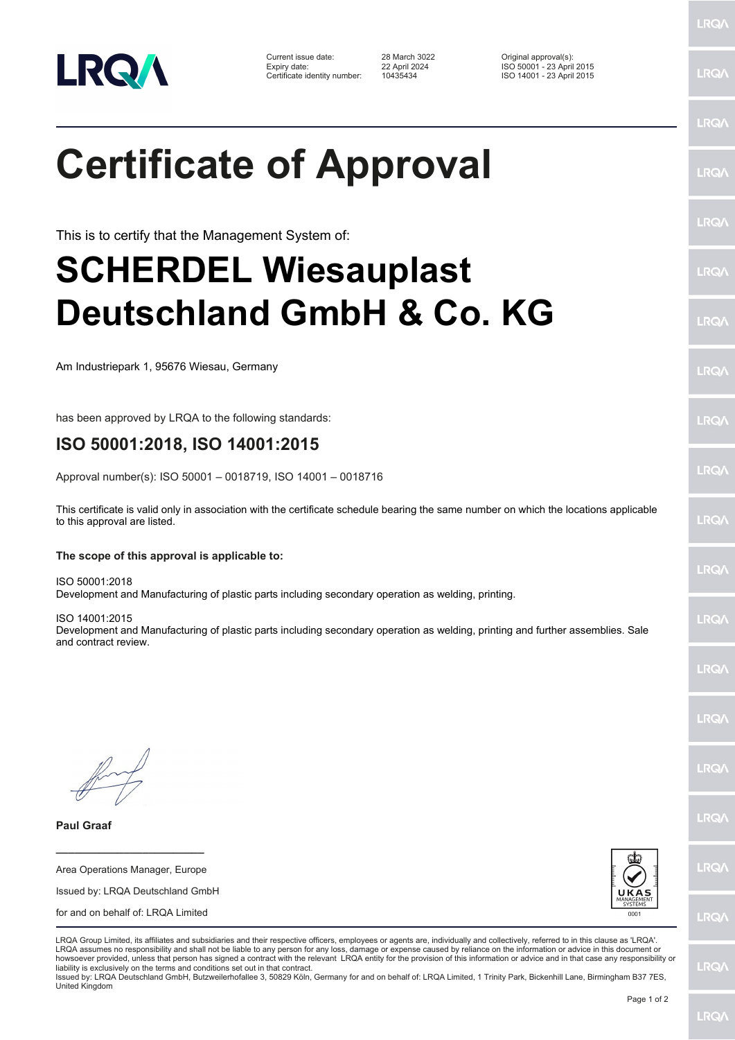

Current issue date: 28 March 3022 Original approval(s): Expiry date: 22 April 2024 ISO 50001 - 23 April 2015 Certificate identity number: 10435434 ISO 14001 - 23 April 2015

**Certificate of Approval**

This is to certify that the Management System of:

## **SCHERDEL Wiesauplast Deutschland GmbH & Co. KG**

Am Industriepark 1, 95676 Wiesau, Germany

has been approved by LRQA to the following standards:

## **ISO 50001:2018, ISO 14001:2015**

Approval number(s): ISO 50001 – 0018719, ISO 14001 – 0018716

This certificate is valid only in association with the certificate schedule bearing the same number on which the locations applicable to this approval are listed.

## **The scope of this approval is applicable to:**

ISO 50001:2018 Development and Manufacturing of plastic parts including secondary operation as welding, printing.

ISO 14001:2015 Development and Manufacturing of plastic parts including secondary operation as welding, printing and further assemblies. Sale and contract review.

**Paul Graaf**

Area Operations Manager, Europe Issued by: LRQA Deutschland GmbH for and on behalf of: LRQA Limited

**\_\_\_\_\_\_\_\_\_\_\_\_\_\_\_\_\_\_\_\_\_\_\_\_**



LRQA Group Limited, its affiliates and subsidiaries and their respective officers, employees or agents are, individually and collectively, referred to in this clause as 'LRQA'. LRQA assumes no responsibility and shall not be liable to any person for any loss, damage or expense caused by reliance on the information or advice in this document or howsoever provided, unless that person has signed a contract with the relevant LRQA entity for the provision of this information or advice and in that case any responsibility or liability is exclusively on the terms and conditions set out in that contract.

Issued by: LRQA Deutschland GmbH, Butzweilerhofallee 3, 50829 Köln, Germany for and on behalf of: LRQA Limited, 1 Trinity Park, Bickenhill Lane, Birmingham B37 7ES, United Kingdom

LRQ/

LRQ/

LRQ/

LRQ/

LRQ/

LRQ/

LRQ/

LRQ/

**IRQ** 

LRQ/

LRQ/

LRQ/

LRQ/

**IRQ** 

**LRO/** 

LRQ/

LRQ/

**LRQ/** 

LRQ/